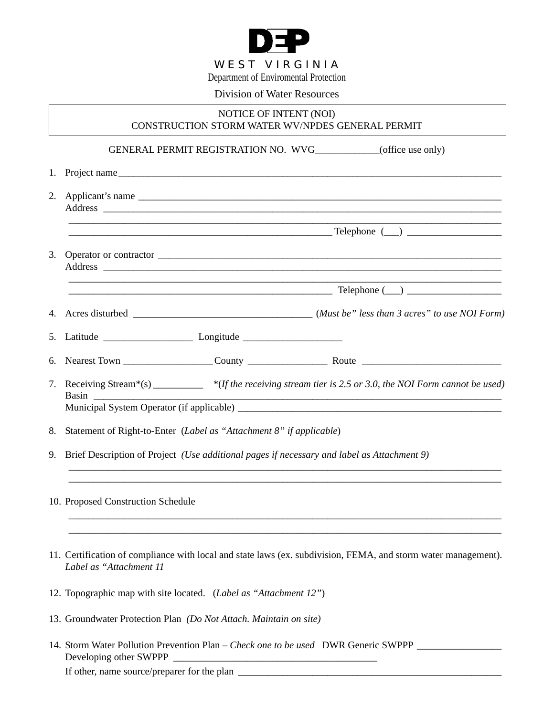

## Division of Water Resources

## NOTICE OF INTENT (NOI) CONSTRUCTION STORM WATER WV/NPDES GENERAL PERMIT

GENERAL PERMIT REGISTRATION NO. WVG\_\_\_\_\_\_\_\_\_\_\_\_\_(office use only)

| 2. |                                                                                            | Applicant's name                                                                                               |  |
|----|--------------------------------------------------------------------------------------------|----------------------------------------------------------------------------------------------------------------|--|
|    |                                                                                            |                                                                                                                |  |
| 3. |                                                                                            |                                                                                                                |  |
|    |                                                                                            | $Telephone (\_\_)$                                                                                             |  |
|    |                                                                                            |                                                                                                                |  |
|    |                                                                                            |                                                                                                                |  |
|    |                                                                                            |                                                                                                                |  |
|    | Basin                                                                                      | 7. Receiving Stream*(s) ________ *(If the receiving stream tier is 2.5 or 3.0, the NOI Form cannot be used)    |  |
| 8. | Statement of Right-to-Enter (Label as "Attachment 8" if applicable)                        |                                                                                                                |  |
| 9. | Brief Description of Project (Use additional pages if necessary and label as Attachment 9) |                                                                                                                |  |
|    | 10. Proposed Construction Schedule                                                         |                                                                                                                |  |
|    | Label as "Attachment 11                                                                    | 11. Certification of compliance with local and state laws (ex. subdivision, FEMA, and storm water management). |  |

- 12. Topographic map with site located. (*Label as "Attachment 12"*)
- 13. Groundwater Protection Plan *(Do Not Attach. Maintain on site)*
- 14. Storm Water Pollution Prevention Plan *Check one to be used* DWR Generic SWPPP \_\_\_\_\_\_\_\_\_\_\_\_\_\_\_\_\_ Developing other SWPPP If other, name source/preparer for the plan \_\_\_\_\_\_\_\_\_\_\_\_\_\_\_\_\_\_\_\_\_\_\_\_\_\_\_\_\_\_\_\_\_\_\_\_\_\_\_\_\_\_\_\_\_\_\_\_\_\_\_\_\_